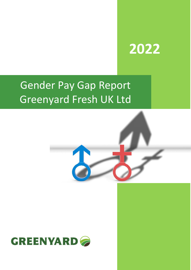# **2022**

# Gender Pay Gap Report Greenyard Fresh UK Ltd



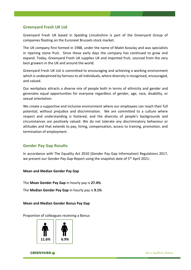#### **Greenyard Fresh UK Ltd**

Greenyard Fresh UK based in Spalding Lincolnshire is part of the Greenyard Group of companies floating on the Euronext Brussels stock market.

The UK company first formed in 1988, under the name of Malet Azoulay and was specialists in ripening stone fruit. Since these early days the company has continued to grow and expand. Today, Greenyard Fresh UK supplies UK and imported fruit, sourced from the very best growers in the UK and around the world.

Greenyard Fresh UK Ltd is committed to encouraging and achieving a working environment which is underpinned by fairness to all individuals, where diversity is recognised, encouraged, and valued.

Our workplace attracts a diverse mix of people both in terms of ethnicity and gender and generates equal opportunities for everyone regardless of gender, age, race, disability, or sexual orientation.

We create a supportive and inclusive environment where our employees can reach their full potential, without prejudice and discrimination. We are committed to a culture where respect and understanding is fostered, and the diversity of people's backgrounds and circumstances are positively valued. We do not tolerate any discriminatory behaviour or attitudes and that extends to pay, hiring, compensation, access to training, promotion, and termination of employment.

#### **Gender Pay Gap Results**

In accordance with The Equality Act 2010 (Gender Pay Gap Information) Regulations 2017, we present our Gender Pay Gap Report using the snapshot date of 5<sup>th</sup> April 2021:

**Mean and Median Gender Pay Gap**

The **Mean Gender Pay Gap** in hourly pay is **27.4%**.

The **Median Gender Pay Gap** in hourly pay is **9.1%**

#### **Mean and Median Gender Bonus Pay Gap**

Proportion of colleagues receiving a Bonus



**GREENYARD** 

for a healthier future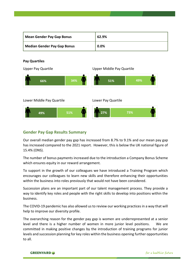| <b>Mean Gender Pay Gap Bonus</b>   | 62.9% |
|------------------------------------|-------|
| <b>Median Gender Pay Gap Bonus</b> | 0.0%  |

#### **Pay Quartiles**

Upper Pay Quartile Upper Middle Pay Quartile Lower Middle Pay Quartile Lower Pay Quartile **49% 51% 66% 34% 51% 49% 27% 73%**

#### **Gender Pay Gap Results Summary**

Our overall median gender pay gap has increased from 8.7% to 9.1% and our mean pay gap has increased compared to the 2021 report. However, this is below the UK national figure of 15.4% (ONS).

The number of bonus payments increased due to the introduction a Company Bonus Scheme which ensures equity in our reward arrangement.

To support in the growth of our colleagues we have introduced a Training Program which encourages our colleagues to learn new skills and therefore enhancing their opportunities within the business into roles previously that would not have been considered.

Succession plans are an important part of our talent management process. They provide a way to identify key roles and people with the right skills to develop into positions within the business.

The COVID-19 pandemic has also allowed us to review our working practices in a way that will help to improve our diversity profile.

The overarching reason for the gender pay gap is women are underrepresented at a senior level and there is a higher number of women in more junior level positions. We are committed in making positive changes by the introduction of training programs for junior levels and succession planning for key roles within the business opening further opportunities to all.

**GREENYARD**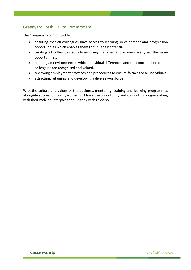### Greenyard Fresh UK Ltd Commitment

The Company is committed to:

- ensuring that all colleagues have access to learning, development and progression opportunities which enables them to fulfil their potential.
- treating all colleagues equally ensuring that men and women are given the same opportunities.
- creating an environment in which individual differences and the contributions of our colleagues are recognised and valued.
- reviewing employment practices and procedures to ensure fairness to all individuals.
- attracting, retaining, and developing a diverse workforce

With the culture and values of the business, mentoring, training and learning programmes alongside succession plans, women will have the opportunity and support to progress along with their male counterparts should they wish to do so.